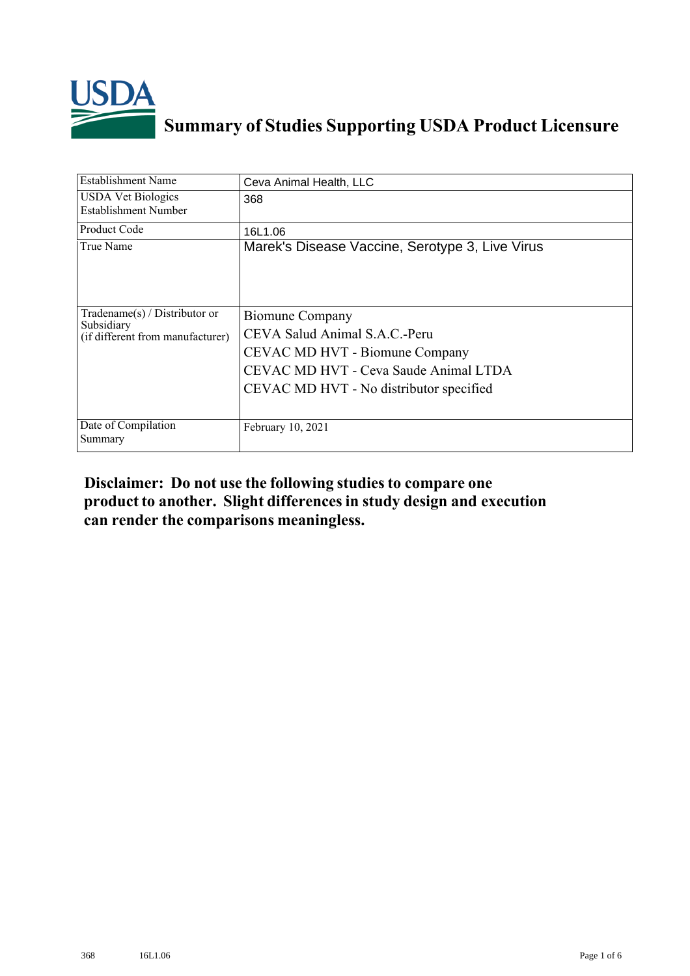

## **Summary of Studies Supporting USDA Product Licensure**

| <b>Establishment Name</b>                                                          | Ceva Animal Health, LLC                                                                                                                                                |
|------------------------------------------------------------------------------------|------------------------------------------------------------------------------------------------------------------------------------------------------------------------|
| <b>USDA Vet Biologics</b><br>Establishment Number                                  | 368                                                                                                                                                                    |
| Product Code                                                                       | 16L1.06                                                                                                                                                                |
| True Name                                                                          | Marek's Disease Vaccine, Serotype 3, Live Virus                                                                                                                        |
| Tradename $(s)$ / Distributor or<br>Subsidiary<br>(if different from manufacturer) | Biomune Company<br>CEVA Salud Animal S.A.C.-Peru<br>CEVAC MD HVT - Biomune Company<br>CEVAC MD HVT - Ceva Saude Animal LTDA<br>CEVAC MD HVT - No distributor specified |
| Date of Compilation<br>Summary                                                     | February 10, 2021                                                                                                                                                      |

## **Disclaimer: Do not use the following studiesto compare one product to another. Slight differencesin study design and execution can render the comparisons meaningless.**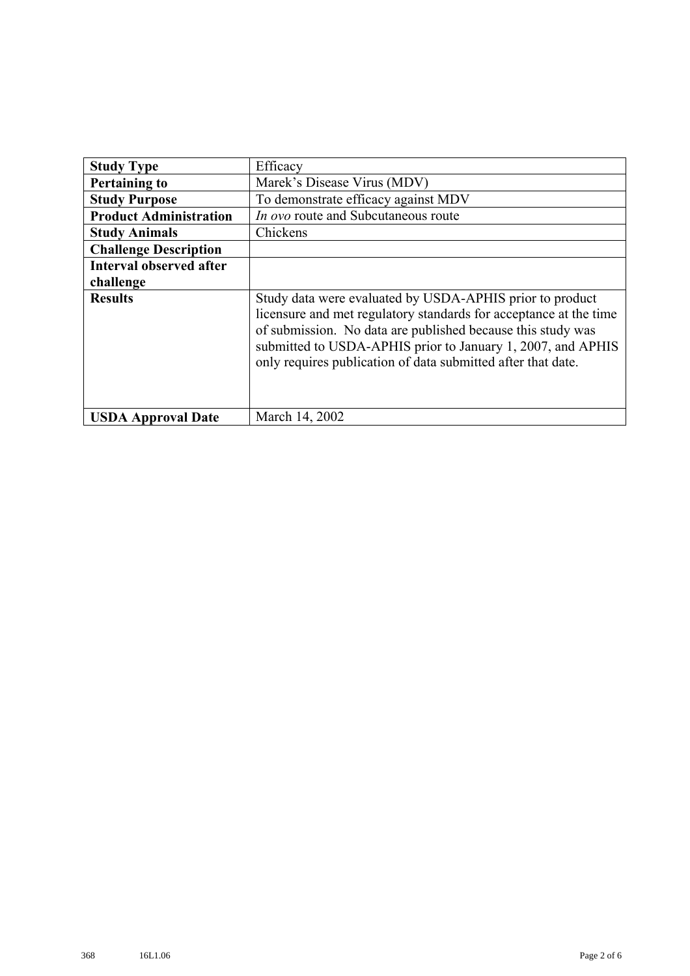| <b>Study Type</b>              | Efficacy                                                                                                                                                                                                                                                                                                                    |  |  |  |  |
|--------------------------------|-----------------------------------------------------------------------------------------------------------------------------------------------------------------------------------------------------------------------------------------------------------------------------------------------------------------------------|--|--|--|--|
| <b>Pertaining to</b>           | Marek's Disease Virus (MDV)                                                                                                                                                                                                                                                                                                 |  |  |  |  |
| <b>Study Purpose</b>           | To demonstrate efficacy against MDV                                                                                                                                                                                                                                                                                         |  |  |  |  |
| <b>Product Administration</b>  | In ovo route and Subcutaneous route                                                                                                                                                                                                                                                                                         |  |  |  |  |
| <b>Study Animals</b>           | Chickens                                                                                                                                                                                                                                                                                                                    |  |  |  |  |
| <b>Challenge Description</b>   |                                                                                                                                                                                                                                                                                                                             |  |  |  |  |
| <b>Interval observed after</b> |                                                                                                                                                                                                                                                                                                                             |  |  |  |  |
| challenge                      |                                                                                                                                                                                                                                                                                                                             |  |  |  |  |
| <b>Results</b>                 | Study data were evaluated by USDA-APHIS prior to product<br>licensure and met regulatory standards for acceptance at the time<br>of submission. No data are published because this study was<br>submitted to USDA-APHIS prior to January 1, 2007, and APHIS<br>only requires publication of data submitted after that date. |  |  |  |  |
| <b>USDA Approval Date</b>      | March 14, 2002                                                                                                                                                                                                                                                                                                              |  |  |  |  |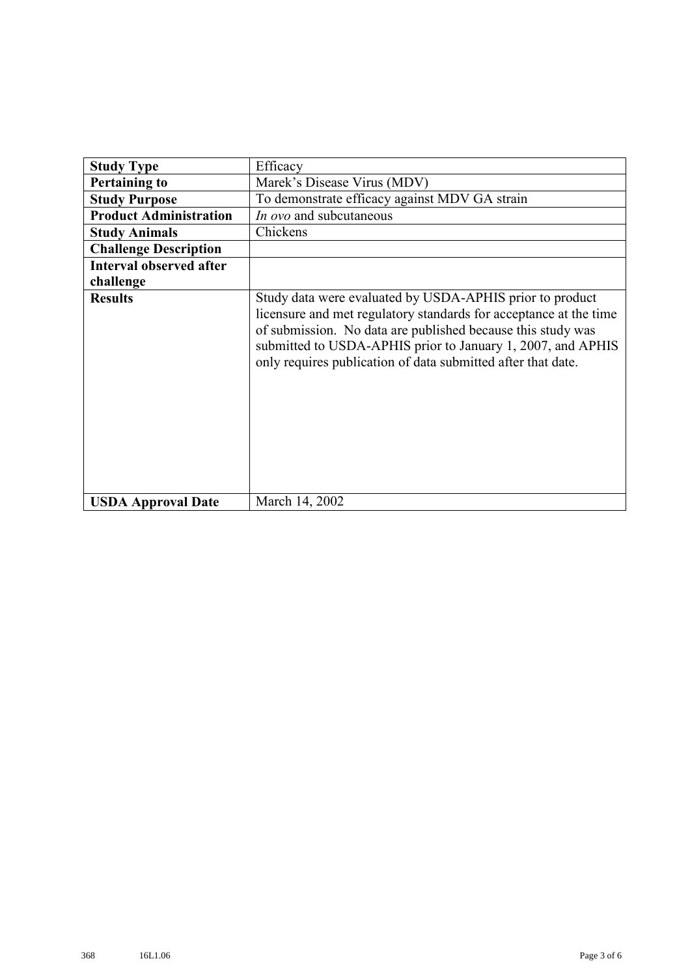| <b>Study Type</b>              | Efficacy                                                                                                                                                                                                                                                                                                                    |  |  |  |  |  |
|--------------------------------|-----------------------------------------------------------------------------------------------------------------------------------------------------------------------------------------------------------------------------------------------------------------------------------------------------------------------------|--|--|--|--|--|
| <b>Pertaining to</b>           | Marek's Disease Virus (MDV)                                                                                                                                                                                                                                                                                                 |  |  |  |  |  |
| <b>Study Purpose</b>           | To demonstrate efficacy against MDV GA strain                                                                                                                                                                                                                                                                               |  |  |  |  |  |
| <b>Product Administration</b>  | In ovo and subcutaneous                                                                                                                                                                                                                                                                                                     |  |  |  |  |  |
| <b>Study Animals</b>           | Chickens                                                                                                                                                                                                                                                                                                                    |  |  |  |  |  |
| <b>Challenge Description</b>   |                                                                                                                                                                                                                                                                                                                             |  |  |  |  |  |
| <b>Interval observed after</b> |                                                                                                                                                                                                                                                                                                                             |  |  |  |  |  |
| challenge                      |                                                                                                                                                                                                                                                                                                                             |  |  |  |  |  |
| <b>Results</b>                 | Study data were evaluated by USDA-APHIS prior to product<br>licensure and met regulatory standards for acceptance at the time<br>of submission. No data are published because this study was<br>submitted to USDA-APHIS prior to January 1, 2007, and APHIS<br>only requires publication of data submitted after that date. |  |  |  |  |  |
| <b>USDA Approval Date</b>      | March 14, 2002                                                                                                                                                                                                                                                                                                              |  |  |  |  |  |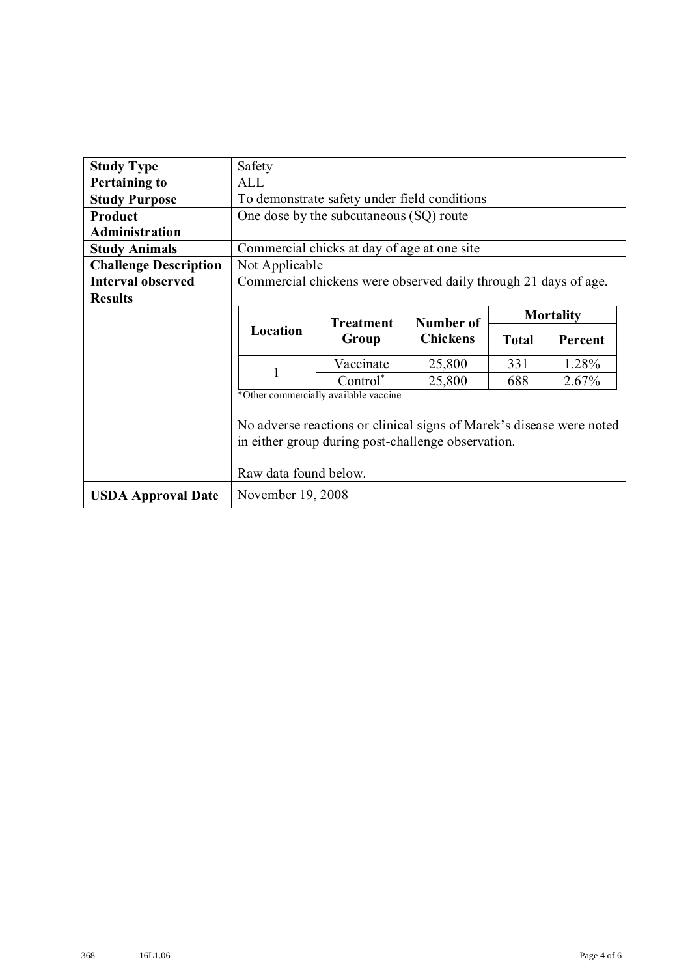| <b>Study Type</b>            | Safety                                                                                                                                                                                       |                                                                 |                 |              |         |  |
|------------------------------|----------------------------------------------------------------------------------------------------------------------------------------------------------------------------------------------|-----------------------------------------------------------------|-----------------|--------------|---------|--|
| <b>Pertaining to</b>         | ALL                                                                                                                                                                                          |                                                                 |                 |              |         |  |
| <b>Study Purpose</b>         | To demonstrate safety under field conditions                                                                                                                                                 |                                                                 |                 |              |         |  |
| Product                      | One dose by the subcutaneous (SQ) route                                                                                                                                                      |                                                                 |                 |              |         |  |
| Administration               |                                                                                                                                                                                              |                                                                 |                 |              |         |  |
| <b>Study Animals</b>         | Commercial chicks at day of age at one site                                                                                                                                                  |                                                                 |                 |              |         |  |
| <b>Challenge Description</b> |                                                                                                                                                                                              | Not Applicable                                                  |                 |              |         |  |
| <b>Interval observed</b>     |                                                                                                                                                                                              | Commercial chickens were observed daily through 21 days of age. |                 |              |         |  |
| <b>Results</b>               |                                                                                                                                                                                              |                                                                 |                 |              |         |  |
|                              | <b>Mortality</b><br><b>Treatment</b><br>Number of                                                                                                                                            |                                                                 |                 |              |         |  |
|                              | Location                                                                                                                                                                                     | Group                                                           | <b>Chickens</b> | <b>Total</b> | Percent |  |
|                              | 1                                                                                                                                                                                            | Vaccinate                                                       | 25,800          | 331          | 1.28%   |  |
|                              |                                                                                                                                                                                              | $Control^*$                                                     | 25,800          | 688          | 2.67%   |  |
|                              | *Other commercially available vaccine<br>No adverse reactions or clinical signs of Marek's disease were noted<br>in either group during post-challenge observation.<br>Raw data found below. |                                                                 |                 |              |         |  |
|                              |                                                                                                                                                                                              |                                                                 |                 |              |         |  |
| <b>USDA Approval Date</b>    | November 19, 2008                                                                                                                                                                            |                                                                 |                 |              |         |  |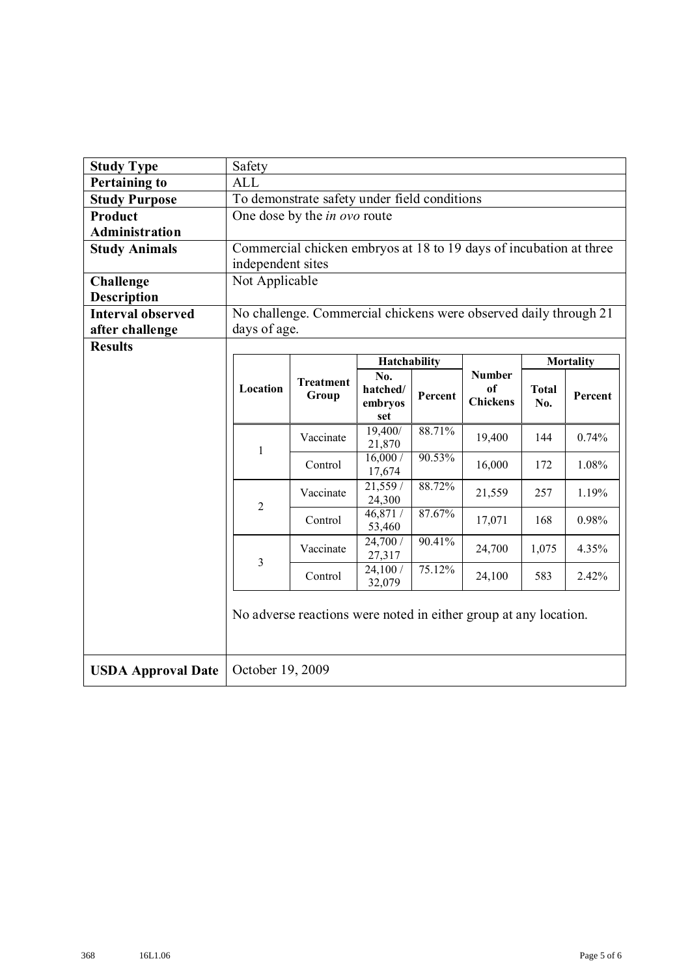| <b>Study Type</b>         | Safety                                                           |                                                                    |                     |         |                                        |                     |         |
|---------------------------|------------------------------------------------------------------|--------------------------------------------------------------------|---------------------|---------|----------------------------------------|---------------------|---------|
| <b>Pertaining to</b>      | <b>ALL</b>                                                       |                                                                    |                     |         |                                        |                     |         |
| <b>Study Purpose</b>      | To demonstrate safety under field conditions                     |                                                                    |                     |         |                                        |                     |         |
| <b>Product</b>            |                                                                  | One dose by the <i>in ovo</i> route                                |                     |         |                                        |                     |         |
| <b>Administration</b>     |                                                                  |                                                                    |                     |         |                                        |                     |         |
| <b>Study Animals</b>      |                                                                  | Commercial chicken embryos at 18 to 19 days of incubation at three |                     |         |                                        |                     |         |
|                           |                                                                  | independent sites                                                  |                     |         |                                        |                     |         |
| <b>Challenge</b>          | Not Applicable                                                   |                                                                    |                     |         |                                        |                     |         |
| <b>Description</b>        |                                                                  |                                                                    |                     |         |                                        |                     |         |
| <b>Interval observed</b>  |                                                                  | No challenge. Commercial chickens were observed daily through 21   |                     |         |                                        |                     |         |
| after challenge           | days of age.                                                     |                                                                    |                     |         |                                        |                     |         |
| <b>Results</b>            |                                                                  |                                                                    |                     |         |                                        |                     |         |
|                           |                                                                  |                                                                    | Hatchability        |         |                                        | <b>Mortality</b>    |         |
|                           |                                                                  | <b>Treatment</b>                                                   | No.                 |         | <b>Number</b><br>of<br><b>Chickens</b> |                     |         |
|                           | Location                                                         | Group                                                              | hatched/<br>embryos | Percent |                                        | <b>Total</b><br>No. | Percent |
|                           |                                                                  |                                                                    | set                 |         |                                        |                     |         |
|                           | $\mathbf{1}$                                                     | Vaccinate                                                          | 19,400/<br>21,870   | 88.71%  | 19,400                                 | 144                 | 0.74%   |
|                           |                                                                  | Control                                                            | 16,000/<br>17,674   | 90.53%  | 16,000                                 | 172                 | 1.08%   |
|                           |                                                                  | Vaccinate                                                          | 21,559/<br>24,300   | 88.72%  | 21,559                                 | 257                 | 1.19%   |
|                           | $\overline{2}$                                                   | Control                                                            | 46,871 /<br>53,460  | 87.67%  | 17,071                                 | 168                 | 0.98%   |
|                           | 3                                                                | Vaccinate                                                          | 24,700/<br>27,317   | 90.41%  | 24,700                                 | 1,075               | 4.35%   |
|                           |                                                                  | Control                                                            | 24,100 /<br>32,079  | 75.12%  | 24,100                                 | 583                 | 2.42%   |
|                           | No adverse reactions were noted in either group at any location. |                                                                    |                     |         |                                        |                     |         |
| <b>USDA Approval Date</b> | October 19, 2009                                                 |                                                                    |                     |         |                                        |                     |         |